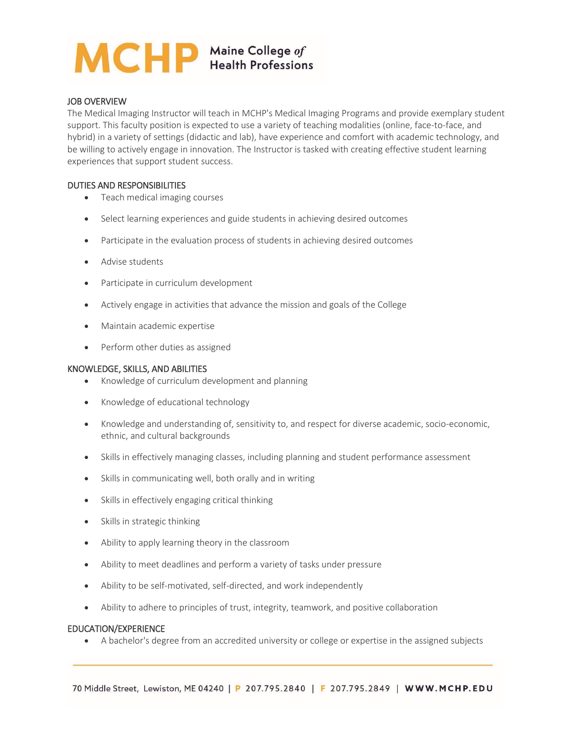# MCHP Maine College of

## JOB OVERVIEW

The Medical Imaging Instructor will teach in MCHP's Medical Imaging Programs and provide exemplary student support. This faculty position is expected to use a variety of teaching modalities (online, face-to-face, and hybrid) in a variety of settings (didactic and lab), have experience and comfort with academic technology, and be willing to actively engage in innovation. The Instructor is tasked with creating effective student learning experiences that support student success.

#### DUTIES AND RESPONSIBILITIES

- Teach medical imaging courses
- Select learning experiences and guide students in achieving desired outcomes
- Participate in the evaluation process of students in achieving desired outcomes
- Advise students
- Participate in curriculum development
- Actively engage in activities that advance the mission and goals of the College
- Maintain academic expertise
- Perform other duties as assigned

## KNOWLEDGE, SKILLS, AND ABILITIES

- Knowledge of curriculum development and planning
- Knowledge of educational technology
- Knowledge and understanding of, sensitivity to, and respect for diverse academic, socio-economic, ethnic, and cultural backgrounds
- Skills in effectively managing classes, including planning and student performance assessment
- Skills in communicating well, both orally and in writing
- Skills in effectively engaging critical thinking
- Skills in strategic thinking
- Ability to apply learning theory in the classroom
- Ability to meet deadlines and perform a variety of tasks under pressure
- Ability to be self-motivated, self-directed, and work independently
- Ability to adhere to principles of trust, integrity, teamwork, and positive collaboration

#### EDUCATION/EXPERIENCE

A bachelor's degree from an accredited university or college or expertise in the assigned subjects